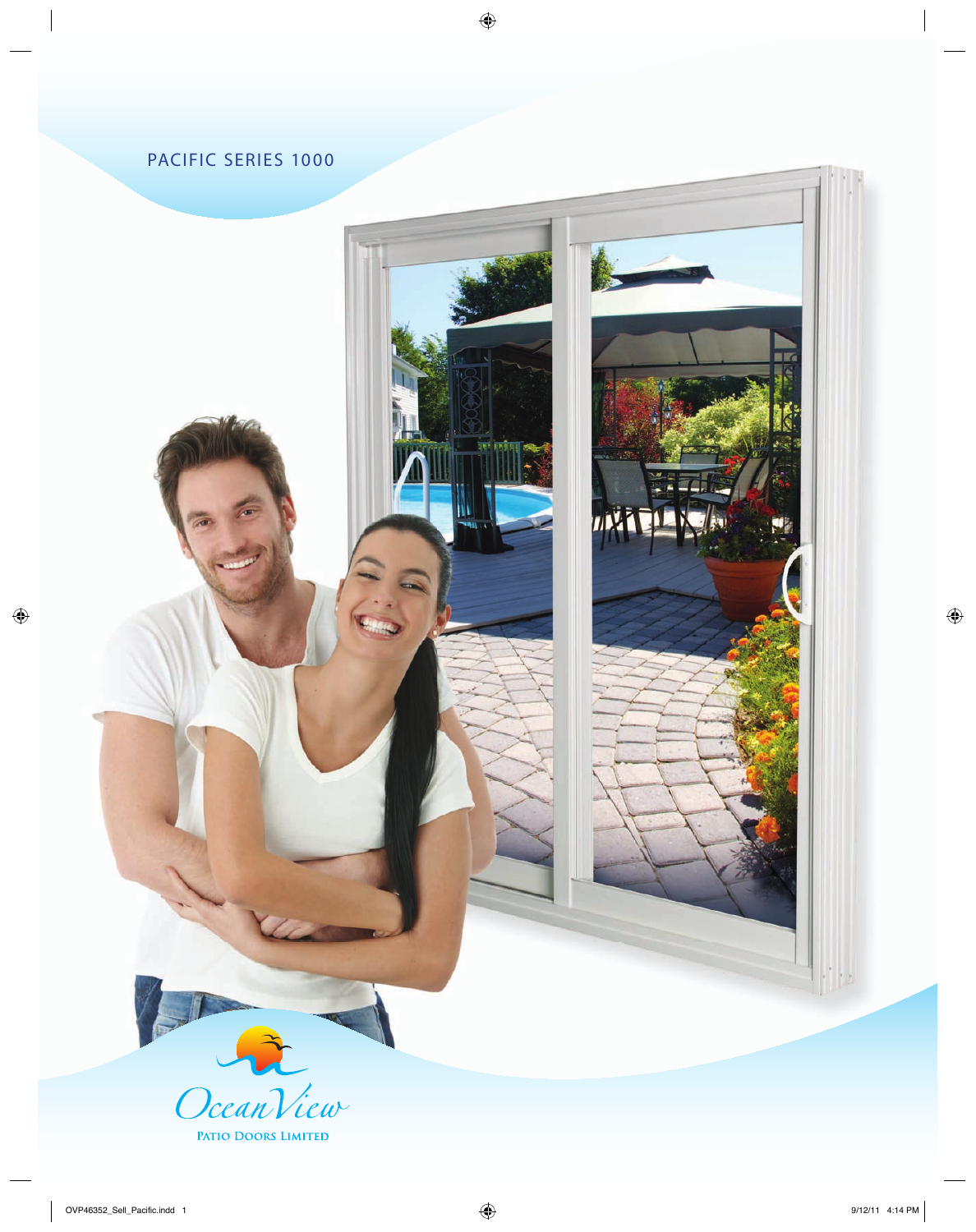# PACIFIC SERIES 1000